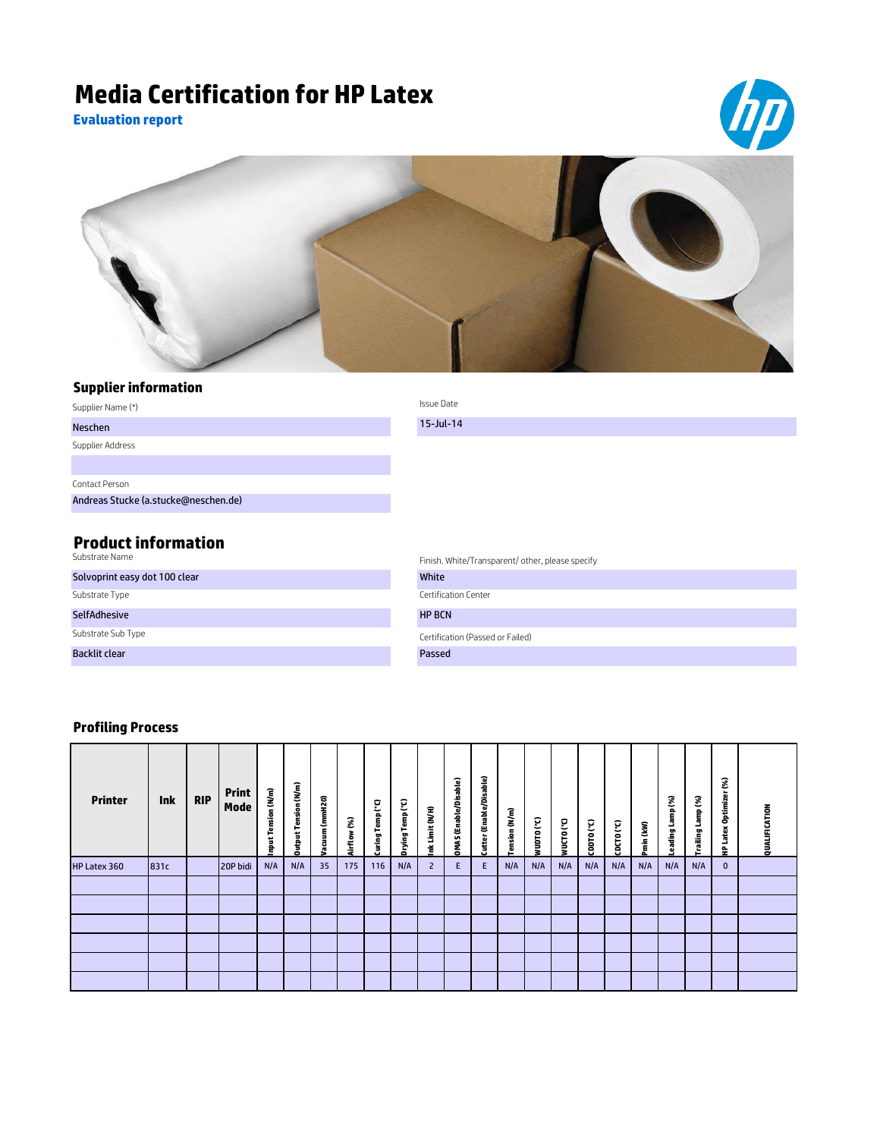## **Media Certification for HP Latex**

**Evaluation report**





## **Supplier information**

| Supplier Name (*)                            | Issue Date                                       |
|----------------------------------------------|--------------------------------------------------|
| Neschen                                      | $15$ -Jul-14                                     |
| Supplier Address                             |                                                  |
|                                              |                                                  |
| Contact Person                               |                                                  |
| Andreas Stucke (a.stucke@neschen.de)         |                                                  |
|                                              |                                                  |
| <b>Product information</b><br>Substrate Name | Finish. White/Transparent/ other, please specify |

| Substrate Name                | Finish. White/Transparent/ other, ple |
|-------------------------------|---------------------------------------|
| Solvoprint easy dot 100 clear | White                                 |
| Substrate Type                | Certification Center                  |
| <b>SelfAdhesive</b>           | <b>HP BCN</b>                         |
| Substrate Sub Type            | Certification (Passed or Failed)      |
| <b>Backlit clear</b>          | Passed                                |

## **Profiling Process**

| <b>Printer</b> | <b>Ink</b> | <b>RIP</b> | <b>Print</b><br>Mode | Tension (N/m)<br>i<br>E | Tension (N/m)<br>Dutput | Vacuum (mmH2O) | 3<br>Airflow | Temp <sup>(°C)</sup><br>Curing <sup>"</sup> | Temp (°C)<br>prying <sup>-</sup> | Limit (N/H)<br>ž | <b>DMAS</b> (Enable/Disable) | Cutter (Enable/Disable) | ension (N/m) | MnDLO ( <sub>c</sub> C) | WUCTO (°C) | $C^{\prime}$ | CDCTO (°C) | Pmin (kW) | Lamp (%)<br>ading | Lamp (%)<br>Trailing | S.<br>こ<br>Optimize<br>ă<br>-<br>읖 | QUALIFICATION |
|----------------|------------|------------|----------------------|-------------------------|-------------------------|----------------|--------------|---------------------------------------------|----------------------------------|------------------|------------------------------|-------------------------|--------------|-------------------------|------------|--------------|------------|-----------|-------------------|----------------------|------------------------------------|---------------|
| HP Latex 360   | 831c       |            | 20P bidi             | N/A                     | N/A                     | 35             | 175          | 116                                         | N/A                              | $\overline{2}$   | E.                           | E                       | N/A          | N/A                     | N/A        | N/A          | N/A        | N/A       | N/A               | N/A                  | $\mathbf{0}$                       |               |
|                |            |            |                      |                         |                         |                |              |                                             |                                  |                  |                              |                         |              |                         |            |              |            |           |                   |                      |                                    |               |
|                |            |            |                      |                         |                         |                |              |                                             |                                  |                  |                              |                         |              |                         |            |              |            |           |                   |                      |                                    |               |
|                |            |            |                      |                         |                         |                |              |                                             |                                  |                  |                              |                         |              |                         |            |              |            |           |                   |                      |                                    |               |
|                |            |            |                      |                         |                         |                |              |                                             |                                  |                  |                              |                         |              |                         |            |              |            |           |                   |                      |                                    |               |
|                |            |            |                      |                         |                         |                |              |                                             |                                  |                  |                              |                         |              |                         |            |              |            |           |                   |                      |                                    |               |
|                |            |            |                      |                         |                         |                |              |                                             |                                  |                  |                              |                         |              |                         |            |              |            |           |                   |                      |                                    |               |